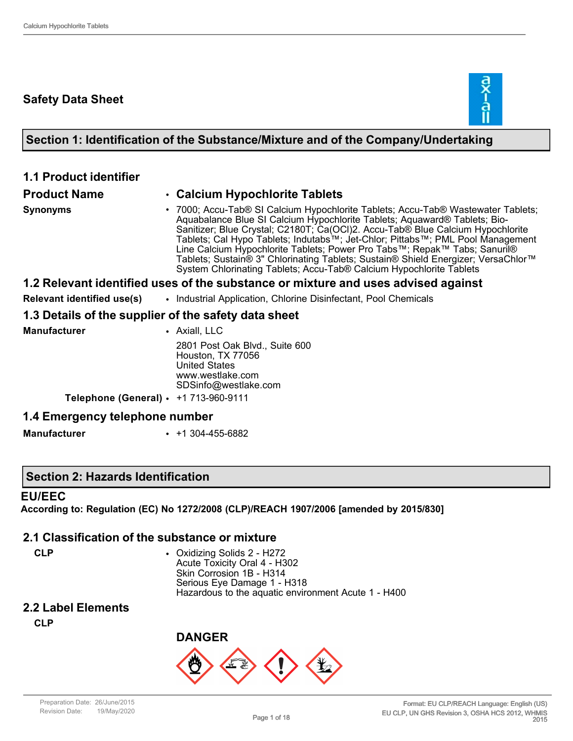### **Safety Data Sheet**



### **Section 1: Identification of the Substance/Mixture and of the Company/Undertaking**

| <b>1.1 Product identifier</b>                        |                                                                                                                                                                                                                                                                                                                                                                                                                                                                                                                                                                                        |
|------------------------------------------------------|----------------------------------------------------------------------------------------------------------------------------------------------------------------------------------------------------------------------------------------------------------------------------------------------------------------------------------------------------------------------------------------------------------------------------------------------------------------------------------------------------------------------------------------------------------------------------------------|
| <b>Product Name</b>                                  | • Calcium Hypochlorite Tablets                                                                                                                                                                                                                                                                                                                                                                                                                                                                                                                                                         |
| <b>Synonyms</b>                                      | • 7000; Accu-Tab® SI Calcium Hypochlorite Tablets; Accu-Tab® Wastewater Tablets;<br>Aquabalance Blue SI Calcium Hypochlorite Tablets; Aquaward® Tablets; Bio-<br>Sanitizer; Blue Crystal; C2180T; Ca(OCl)2. Accu-Tab® Blue Calcium Hypochlorite<br>Tablets; Cal Hypo Tablets; Indutabs™; Jet-Chlor; Pittabs™; PML Pool Management<br>Line Calcium Hypochlorite Tablets; Power Pro Tabs™; Repak™ Tabs; Sanuril®<br>Tablets; Sustain® 3" Chlorinating Tablets; Sustain® Shield Energizer; VersaChlor™<br>System Chlorinating Tablets; Accu-Tab <sup>®</sup> Calcium Hypochlorite Tablets |
|                                                      | 1.2 Relevant identified uses of the substance or mixture and uses advised against                                                                                                                                                                                                                                                                                                                                                                                                                                                                                                      |
| Relevant identified use(s)                           | • Industrial Application, Chlorine Disinfectant, Pool Chemicals                                                                                                                                                                                                                                                                                                                                                                                                                                                                                                                        |
| 1.3 Details of the supplier of the safety data sheet |                                                                                                                                                                                                                                                                                                                                                                                                                                                                                                                                                                                        |
| <b>Manufacturer</b>                                  | • Axiall, LLC                                                                                                                                                                                                                                                                                                                                                                                                                                                                                                                                                                          |
|                                                      | 2801 Post Oak Blvd., Suite 600<br>Houston, TX 77056<br><b>United States</b><br>www.westlake.com<br>SDSinfo@westlake.com                                                                                                                                                                                                                                                                                                                                                                                                                                                                |
| Telephone (General) • +1 713-960-9111                |                                                                                                                                                                                                                                                                                                                                                                                                                                                                                                                                                                                        |
| 1.4 Emergency telephone number                       |                                                                                                                                                                                                                                                                                                                                                                                                                                                                                                                                                                                        |

**Manufacturer** • +1 304-455-6882

#### **Section 2: Hazards Identification**

#### **EU/EEC**

**According to: Regulation (EC) No 1272/2008 (CLP)/REACH 1907/2006 [amended by 2015/830]**

#### **2.1 Classification of the substance or mixture**

**CLP** • Oxidizing Solids 2 - H272 Acute Toxicity Oral 4 - H302 Skin Corrosion 1B - H314 Serious Eye Damage 1 - H318 Hazardous to the aquatic environment Acute 1 - H400

## **2.2 Label Elements**

**CLP**

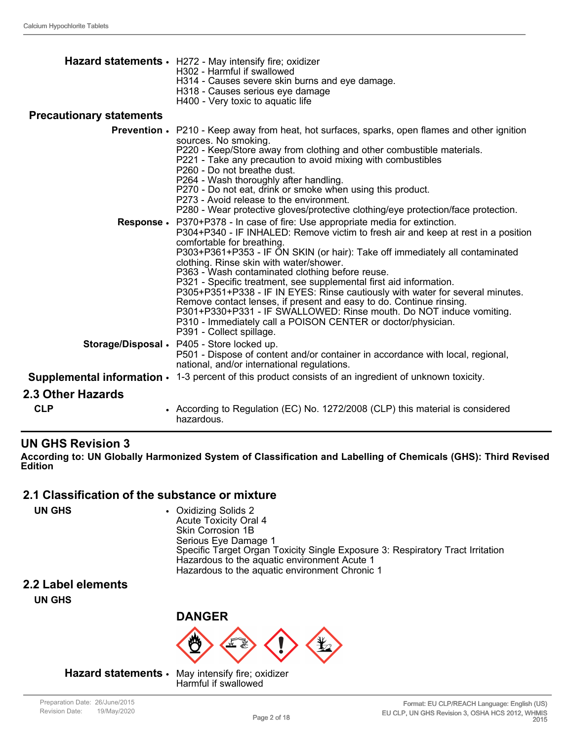|                                 | Hazard statements · H272 - May intensify fire; oxidizer<br>H302 - Harmful if swallowed<br>H314 - Causes severe skin burns and eye damage.<br>H318 - Causes serious eye damage<br>H400 - Very toxic to aquatic life                                                                                                                                                                                                                                                                                                                                                                                                                                                                                                                                                              |
|---------------------------------|---------------------------------------------------------------------------------------------------------------------------------------------------------------------------------------------------------------------------------------------------------------------------------------------------------------------------------------------------------------------------------------------------------------------------------------------------------------------------------------------------------------------------------------------------------------------------------------------------------------------------------------------------------------------------------------------------------------------------------------------------------------------------------|
| <b>Precautionary statements</b> |                                                                                                                                                                                                                                                                                                                                                                                                                                                                                                                                                                                                                                                                                                                                                                                 |
|                                 | <b>Prevention •</b> P210 - Keep away from heat, hot surfaces, sparks, open flames and other ignition<br>sources. No smoking.<br>P220 - Keep/Store away from clothing and other combustible materials.<br>P221 - Take any precaution to avoid mixing with combustibles<br>P260 - Do not breathe dust.<br>P264 - Wash thoroughly after handling.<br>P270 - Do not eat, drink or smoke when using this product.<br>P273 - Avoid release to the environment.<br>P280 - Wear protective gloves/protective clothing/eye protection/face protection.                                                                                                                                                                                                                                   |
|                                 | Response • P370+P378 - In case of fire: Use appropriate media for extinction.<br>P304+P340 - IF INHALED: Remove victim to fresh air and keep at rest in a position<br>comfortable for breathing.<br>P303+P361+P353 - IF ON SKIN (or hair): Take off immediately all contaminated<br>clothing. Rinse skin with water/shower.<br>P363 - Wash contaminated clothing before reuse.<br>P321 - Specific treatment, see supplemental first aid information.<br>P305+P351+P338 - IF IN EYES: Rinse cautiously with water for several minutes.<br>Remove contact lenses, if present and easy to do. Continue rinsing.<br>P301+P330+P331 - IF SWALLOWED: Rinse mouth. Do NOT induce vomiting.<br>P310 - Immediately call a POISON CENTER or doctor/physician.<br>P391 - Collect spillage. |
|                                 | Storage/Disposal • P405 - Store locked up.<br>P501 - Dispose of content and/or container in accordance with local, regional,<br>national, and/or international regulations.                                                                                                                                                                                                                                                                                                                                                                                                                                                                                                                                                                                                     |
|                                 | <b>Supplemental information <math>\cdot</math></b> 1-3 percent of this product consists of an ingredient of unknown toxicity.                                                                                                                                                                                                                                                                                                                                                                                                                                                                                                                                                                                                                                                   |
| 2.3 Other Hazards               |                                                                                                                                                                                                                                                                                                                                                                                                                                                                                                                                                                                                                                                                                                                                                                                 |
| <b>CLP</b>                      | • According to Regulation (EC) No. 1272/2008 (CLP) this material is considered<br>hazardous.                                                                                                                                                                                                                                                                                                                                                                                                                                                                                                                                                                                                                                                                                    |

#### **UN GHS Revision 3**

**According to: UN Globally Harmonized System of Classification and Labelling of Chemicals (GHS): Third Revised Edition**

#### **2.1 Classification of the substance or mixture**

| <b>UN GHS</b> | • Oxidizing Solids 2<br><b>Acute Toxicity Oral 4</b><br>Skin Corrosion 1B<br>Serious Eye Damage 1<br>Specific Target Organ Toxicity Single Exposure 3: Respiratory Tract Irritation<br>Hazardous to the aquatic environment Acute 1<br>Hazardous to the aquatic environment Chronic 1 |
|---------------|---------------------------------------------------------------------------------------------------------------------------------------------------------------------------------------------------------------------------------------------------------------------------------------|
|               |                                                                                                                                                                                                                                                                                       |

#### **2.2 Label elements**

**UN GHS**



#### **Hazard statements** • May intensify fire; oxidizer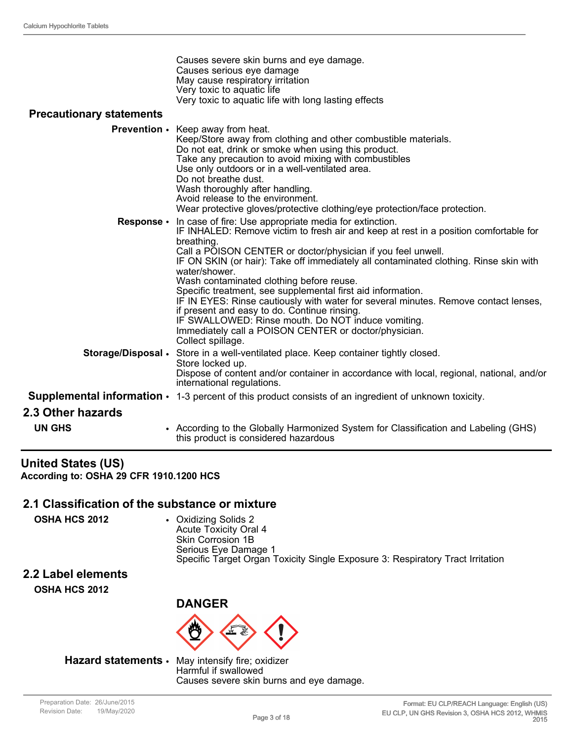| Causes severe skin burns and eye damage.             |
|------------------------------------------------------|
| Causes serious eye damage                            |
| May cause respiratory irritation                     |
| Very toxic to aquatic life                           |
| Very toxic to aquatic life with long lasting effects |

#### **Precautionary statements**

|                    | <b>Prevention</b> • Keep away from heat.<br>Keep/Store away from clothing and other combustible materials.<br>Do not eat, drink or smoke when using this product.<br>Take any precaution to avoid mixing with combustibles<br>Use only outdoors or in a well-ventilated area.<br>Do not breathe dust.<br>Wash thoroughly after handling.<br>Avoid release to the environment.<br>Wear protective gloves/protective clothing/eye protection/face protection.                                                                                                                                                                                                                                                                   |
|--------------------|-------------------------------------------------------------------------------------------------------------------------------------------------------------------------------------------------------------------------------------------------------------------------------------------------------------------------------------------------------------------------------------------------------------------------------------------------------------------------------------------------------------------------------------------------------------------------------------------------------------------------------------------------------------------------------------------------------------------------------|
| Response •         | In case of fire: Use appropriate media for extinction.<br>IF INHALED: Remove victim to fresh air and keep at rest in a position comfortable for<br>breathing.<br>Call a POISON CENTER or doctor/physician if you feel unwell.<br>IF ON SKIN (or hair): Take off immediately all contaminated clothing. Rinse skin with<br>water/shower.<br>Wash contaminated clothing before reuse.<br>Specific treatment, see supplemental first aid information.<br>IF IN EYES: Rinse cautiously with water for several minutes. Remove contact lenses,<br>if present and easy to do. Continue rinsing.<br>IF SWALLOWED: Rinse mouth. Do NOT induce vomiting.<br>Immediately call a POISON CENTER or doctor/physician.<br>Collect spillage. |
| Storage/Disposal . | Store in a well-ventilated place. Keep container tightly closed.<br>Store locked up.<br>Dispose of content and/or container in accordance with local, regional, national, and/or<br>international regulations.                                                                                                                                                                                                                                                                                                                                                                                                                                                                                                                |
|                    | <b>Supplemental information <math>\cdot</math></b> 1-3 percent of this product consists of an ingredient of unknown toxicity.                                                                                                                                                                                                                                                                                                                                                                                                                                                                                                                                                                                                 |
| 2.3 Other hazards  |                                                                                                                                                                                                                                                                                                                                                                                                                                                                                                                                                                                                                                                                                                                               |
| <b>UN GHS</b>      | • According to the Globally Harmonized System for Classification and Labeling (GHS)<br>this product is considered hazardous                                                                                                                                                                                                                                                                                                                                                                                                                                                                                                                                                                                                   |

#### **United States (US) According to: OSHA 29 CFR 1910.1200 HCS**

#### **2.1 Classification of the substance or mixture**

**OSHA HCS 2012** • Oxidizing Solids 2 Acute Toxicity Oral 4 Skin Corrosion 1B Serious Eye Damage 1 Specific Target Organ Toxicity Single Exposure 3: Respiratory Tract Irritation

# **2.2 Label elements**

**OSHA HCS 2012**



#### **Hazard statements** • May intensify fire; oxidizer

Harmful if swallowed Causes severe skin burns and eye damage.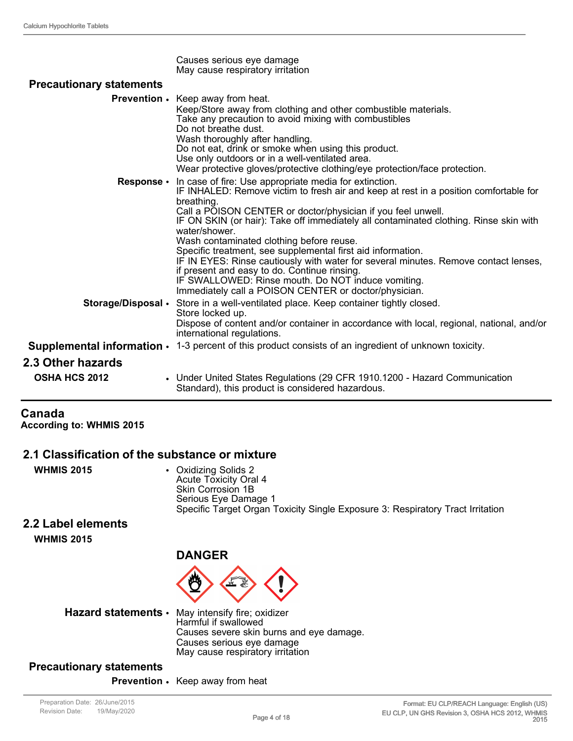| <b>Precautionary statements</b> | Causes serious eye damage<br>May cause respiratory irritation                                                                                                                                                                                                                                                                                                                                                                                                                                                                                                                                                                                                     |
|---------------------------------|-------------------------------------------------------------------------------------------------------------------------------------------------------------------------------------------------------------------------------------------------------------------------------------------------------------------------------------------------------------------------------------------------------------------------------------------------------------------------------------------------------------------------------------------------------------------------------------------------------------------------------------------------------------------|
|                                 |                                                                                                                                                                                                                                                                                                                                                                                                                                                                                                                                                                                                                                                                   |
|                                 | Prevention • Keep away from heat.<br>Keep/Store away from clothing and other combustible materials.<br>Take any precaution to avoid mixing with combustibles<br>Do not breathe dust.<br>Wash thoroughly after handling.<br>Do not eat, drink or smoke when using this product.<br>Use only outdoors or in a well-ventilated area.<br>Wear protective gloves/protective clothing/eye protection/face protection.                                                                                                                                                                                                                                                   |
|                                 | <b>Response</b> • In case of fire: Use appropriate media for extinction.<br>IF INHALED: Remove victim to fresh air and keep at rest in a position comfortable for<br>breathing.<br>Call a POISON CENTER or doctor/physician if you feel unwell.<br>IF ON SKIN (or hair): Take off immediately all contaminated clothing. Rinse skin with<br>water/shower.<br>Wash contaminated clothing before reuse.<br>Specific treatment, see supplemental first aid information.<br>IF IN EYES: Rinse cautiously with water for several minutes. Remove contact lenses,<br>if present and easy to do. Continue rinsing.<br>IF SWALLOWED: Rinse mouth. Do NOT induce vomiting. |
| Storage/Disposal •              | Immediately call a POISON CENTER or doctor/physician.<br>Store in a well-ventilated place. Keep container tightly closed.<br>Store locked up.<br>Dispose of content and/or container in accordance with local, regional, national, and/or<br>international regulations.                                                                                                                                                                                                                                                                                                                                                                                           |
|                                 | <b>Supplemental information <math>\cdot</math></b> 1-3 percent of this product consists of an ingredient of unknown toxicity.                                                                                                                                                                                                                                                                                                                                                                                                                                                                                                                                     |
| 2.3 Other hazards               |                                                                                                                                                                                                                                                                                                                                                                                                                                                                                                                                                                                                                                                                   |
|                                 |                                                                                                                                                                                                                                                                                                                                                                                                                                                                                                                                                                                                                                                                   |
| <b>OSHA HCS 2012</b>            | • Under United States Regulations (29 CFR 1910.1200 - Hazard Communication<br>Standard), this product is considered hazardous.                                                                                                                                                                                                                                                                                                                                                                                                                                                                                                                                    |

### **Canada**

**According to: WHMIS 2015**

#### **2.1 Classification of the substance or mixture**

| <b>WHMIS 2015</b> | • Oxidizing Solids 2<br>Acute Toxicity Oral 4<br>Skin Corrosion 1B             |
|-------------------|--------------------------------------------------------------------------------|
|                   | Serious Eye Damage 1                                                           |
|                   | Specific Target Organ Toxicity Single Exposure 3: Respiratory Tract Irritation |
|                   |                                                                                |

#### **2.2 Label elements**

**WHMIS 2015**

### **DANGER**



**Hazard statements** • May intensify fire; oxidizer

Harmful if swallowed Causes severe skin burns and eye damage. Causes serious eye damage May cause respiratory irritation

### **Precautionary statements**

**Prevention** • Keep away from heat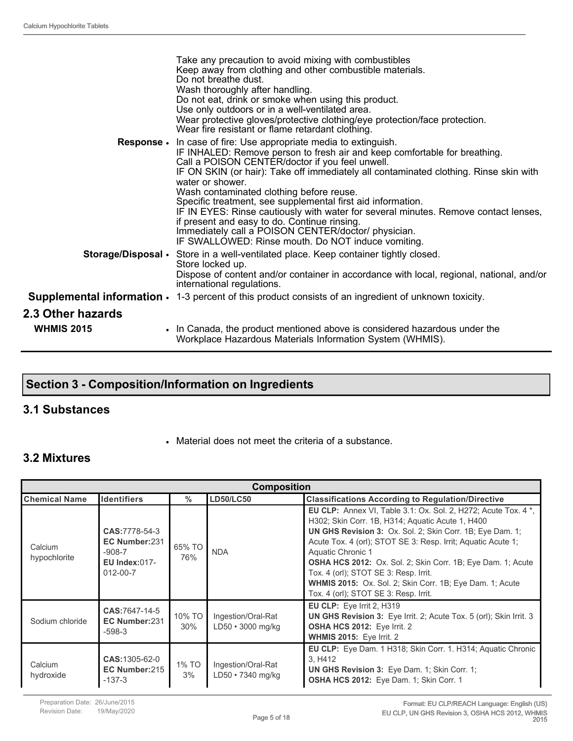|                                        | Take any precaution to avoid mixing with combustibles<br>Keep away from clothing and other combustible materials.<br>Do not breathe dust.<br>Wash thoroughly after handling.<br>Do not eat, drink or smoke when using this product.<br>Use only outdoors or in a well-ventilated area.<br>Wear protective gloves/protective clothing/eye protection/face protection.<br>Wear fire resistant or flame retardant clothing.                                                                                                                                                                                                                                                            |
|----------------------------------------|-------------------------------------------------------------------------------------------------------------------------------------------------------------------------------------------------------------------------------------------------------------------------------------------------------------------------------------------------------------------------------------------------------------------------------------------------------------------------------------------------------------------------------------------------------------------------------------------------------------------------------------------------------------------------------------|
|                                        | <b>Response.</b> In case of fire: Use appropriate media to extinguish.<br>IF INHALED: Remove person to fresh air and keep comfortable for breathing.<br>Call a POISON CENTER/doctor if you feel unwell.<br>IF ON SKIN (or hair): Take off immediately all contaminated clothing. Rinse skin with<br>water or shower.<br>Wash contaminated clothing before reuse.<br>Specific treatment, see supplemental first aid information.<br>IF IN EYES: Rinse cautiously with water for several minutes. Remove contact lenses,<br>if present and easy to do. Continue rinsing.<br>Immediately call a POISON CENTER/doctor/ physician.<br>IF SWALLOWED: Rinse mouth. Do NOT induce vomiting. |
|                                        | Storage/Disposal • Store in a well-ventilated place. Keep container tightly closed.<br>Store locked up.<br>Dispose of content and/or container in accordance with local, regional, national, and/or<br>international regulations.                                                                                                                                                                                                                                                                                                                                                                                                                                                   |
|                                        | <b>Supplemental information <math>\cdot</math></b> 1-3 percent of this product consists of an ingredient of unknown toxicity.                                                                                                                                                                                                                                                                                                                                                                                                                                                                                                                                                       |
| 2.3 Other hazards<br><b>WHMIS 2015</b> | . In Canada, the product mentioned above is considered hazardous under the<br>Workplace Hazardous Materials Information System (WHMIS).                                                                                                                                                                                                                                                                                                                                                                                                                                                                                                                                             |

### **Section 3 - Composition/Information on Ingredients**

#### **3.1 Substances**

• Material does not meet the criteria of a substance.

#### **3.2 Mixtures**

| <b>Composition</b>      |                                                                                       |               |                                         |                                                                                                                                                                                                                                                                                                                                                                                                                                                                                                 |
|-------------------------|---------------------------------------------------------------------------------------|---------------|-----------------------------------------|-------------------------------------------------------------------------------------------------------------------------------------------------------------------------------------------------------------------------------------------------------------------------------------------------------------------------------------------------------------------------------------------------------------------------------------------------------------------------------------------------|
| <b>Chemical Name</b>    | <b>Identifiers</b>                                                                    | $\%$          | <b>LD50/LC50</b>                        | <b>Classifications According to Regulation/Directive</b>                                                                                                                                                                                                                                                                                                                                                                                                                                        |
| Calcium<br>hypochlorite | CAS: 7778-54-3<br>EC Number:231<br>$-908-7$<br><b>EU Index:017-</b><br>$012 - 00 - 7$ | 65% TO<br>76% | <b>NDA</b>                              | <b>EU CLP:</b> Annex VI, Table 3.1: Ox. Sol. 2, H272; Acute Tox. 4 *,<br>H302; Skin Corr. 1B, H314; Aguatic Acute 1, H400<br>UN GHS Revision 3: Ox. Sol. 2; Skin Corr. 1B; Eye Dam. 1;<br>Acute Tox. 4 (orl); STOT SE 3: Resp. Irrit; Aquatic Acute 1;<br>Aquatic Chronic 1<br><b>OSHA HCS 2012:</b> Ox. Sol. 2; Skin Corr. 1B; Eye Dam. 1; Acute<br>Tox. 4 (orl); STOT SE 3: Resp. Irrit.<br>WHMIS 2015: Ox. Sol. 2; Skin Corr. 1B; Eye Dam. 1; Acute<br>Tox. 4 (orl); STOT SE 3: Resp. Irrit. |
| Sodium chloride         | CAS:7647-14-5<br>EC Number:231<br>$-598-3$                                            | 10% TO<br>30% | Ingestion/Oral-Rat<br>LD50 · 3000 mg/kg | EU CLP: Eye Irrit 2, H319<br>UN GHS Revision 3: Eye Irrit. 2; Acute Tox. 5 (orl); Skin Irrit. 3<br><b>OSHA HCS 2012: Eye Irrit. 2</b><br><b>WHMIS 2015: Eye Irrit. 2</b>                                                                                                                                                                                                                                                                                                                        |
| Calcium<br>hydroxide    | <b>CAS:</b> 1305-62-0<br>EC Number:215<br>$-137-3$                                    | 1% TO<br>3%   | Ingestion/Oral-Rat<br>LD50 • 7340 mg/kg | <b>EU CLP:</b> Eye Dam. 1 H318; Skin Corr. 1. H314; Aquatic Chronic<br>3. H412<br><b>UN GHS Revision 3:</b> Eye Dam. 1; Skin Corr. 1;<br>OSHA HCS 2012: Eye Dam. 1; Skin Corr. 1                                                                                                                                                                                                                                                                                                                |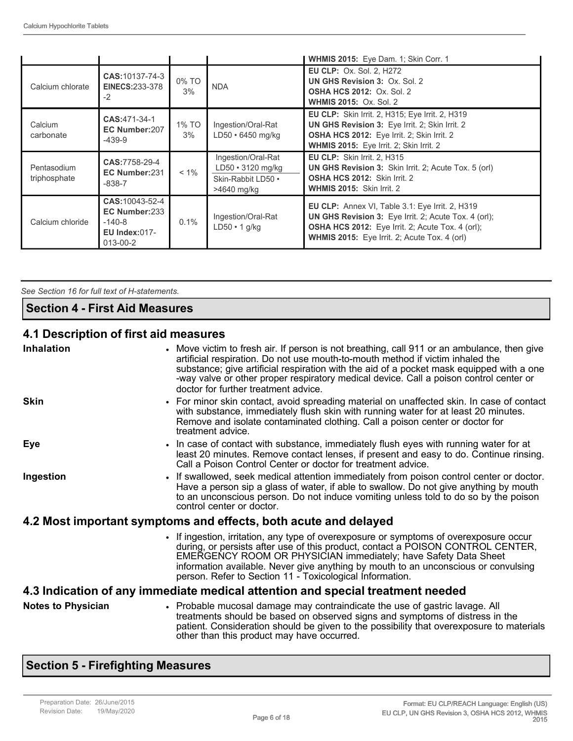|                             |                                                                                  |             |                                                                                    | WHMIS 2015: Eye Dam. 1; Skin Corr. 1                                                                                                                                                                               |
|-----------------------------|----------------------------------------------------------------------------------|-------------|------------------------------------------------------------------------------------|--------------------------------------------------------------------------------------------------------------------------------------------------------------------------------------------------------------------|
| Calcium chlorate            | <b>CAS:</b> 10137-74-3<br>EINECS:233-378<br>$-2$                                 | 0% TO<br>3% | <b>NDA</b>                                                                         | <b>EU CLP: Ox. Sol. 2, H272</b><br><b>UN GHS Revision 3: Ox. Sol. 2</b><br><b>OSHA HCS 2012: Ox. Sol. 2</b><br><b>WHMIS 2015: Ox. Sol. 2</b>                                                                       |
| Calcium<br>carbonate        | CAS:471-34-1<br>EC Number:207<br>$-439-9$                                        | 1% TO<br>3% | Ingestion/Oral-Rat<br>$LD50 \cdot 6450$ mg/kg                                      | <b>EU CLP:</b> Skin Irrit. 2, H315; Eye Irrit. 2, H319<br>UN GHS Revision 3: Eye Irrit. 2; Skin Irrit. 2<br>OSHA HCS 2012: Eye Irrit. 2; Skin Irrit. 2<br>WHMIS 2015: Eye Irrit. 2; Skin Irrit. 2                  |
| Pentasodium<br>triphosphate | CAS:7758-29-4<br>EC Number:231<br>$-838-7$                                       | $< 1\%$     | Ingestion/Oral-Rat<br>$LD50 \cdot 3120$ mg/kg<br>Skin-Rabbit LD50 .<br>>4640 mg/kg | <b>EU CLP:</b> Skin Irrit. 2, H315<br><b>UN GHS Revision 3:</b> Skin Irrit. 2; Acute Tox. 5 (orl)<br>OSHA HCS 2012: Skin Irrit. 2<br>WHMIS 2015: Skin Irrit. 2                                                     |
| Calcium chloride            | CAS: 10043-52-4<br>EC Number:233<br>$-140-8$<br><b>EU Index:017-</b><br>013-00-2 | 0.1%        | Ingestion/Oral-Rat<br>$LD50 \cdot 1$ g/kg                                          | EU CLP: Annex VI, Table 3.1: Eye Irrit. 2, H319<br><b>UN GHS Revision 3:</b> Eye Irrit. 2; Acute Tox. 4 (orl);<br>OSHA HCS 2012: Eye Irrit. 2; Acute Tox. 4 (orl);<br>WHMIS 2015: Eye Irrit. 2; Acute Tox. 4 (orl) |

*See Section 16 for full text of H-statements.* 

#### **Section 4 - First Aid Measures**

### **4.1 Description of first aid measures**

| <b>Inhalation</b>                                                              | • Move victim to fresh air. If person is not breathing, call 911 or an ambulance, then give<br>artificial respiration. Do not use mouth-to-mouth method if victim inhaled the<br>substance; give artificial respiration with the aid of a pocket mask equipped with a one<br>-way valve or other proper respiratory medical device. Call a poison control center or<br>doctor for further treatment advice. |  |
|--------------------------------------------------------------------------------|-------------------------------------------------------------------------------------------------------------------------------------------------------------------------------------------------------------------------------------------------------------------------------------------------------------------------------------------------------------------------------------------------------------|--|
| <b>Skin</b>                                                                    | • For minor skin contact, avoid spreading material on unaffected skin. In case of contact<br>with substance, immediately flush skin with running water for at least 20 minutes.<br>Remove and isolate contaminated clothing. Call a poison center or doctor for<br>treatment advice.                                                                                                                        |  |
| Eye                                                                            | • In case of contact with substance, immediately flush eyes with running water for at<br>least 20 minutes. Remove contact lenses, if present and easy to do. Continue rinsing.<br>Call a Poison Control Center or doctor for treatment advice.                                                                                                                                                              |  |
| Ingestion                                                                      | • If swallowed, seek medical attention immediately from poison control center or doctor.<br>Have a person sip a glass of water, if able to swallow. Do not give anything by mouth<br>to an unconscious person. Do not induce vomiting unless told to do so by the poison<br>control center or doctor.                                                                                                       |  |
|                                                                                | 4.2 Most important symptoms and effects, both acute and delayed                                                                                                                                                                                                                                                                                                                                             |  |
|                                                                                | • If ingestion, irritation, any type of overexposure or symptoms of overexposure occur<br>during, or persists after use of this product, contact a POISON CONTROL CENTER,<br>EMERGENCY ROOM OR PHYSICIAN immediately; have Safety Data Sheet<br>information available. Never give anything by mouth to an unconscious or convulsing<br>person. Refer to Section 11 - Toxicological Information.             |  |
| 4.3 Indication of any immediate medical attention and special treatment needed |                                                                                                                                                                                                                                                                                                                                                                                                             |  |
| <b>Notes to Physician</b>                                                      | • Probable mucosal damage may contraindicate the use of gastric lavage. All<br>treatments should be based on observed signs and symptoms of distress in the<br>patient. Consideration should be given to the possibility that overexposure to materials<br>other than this product may have occurred.                                                                                                       |  |

### **Section 5 - Firefighting Measures**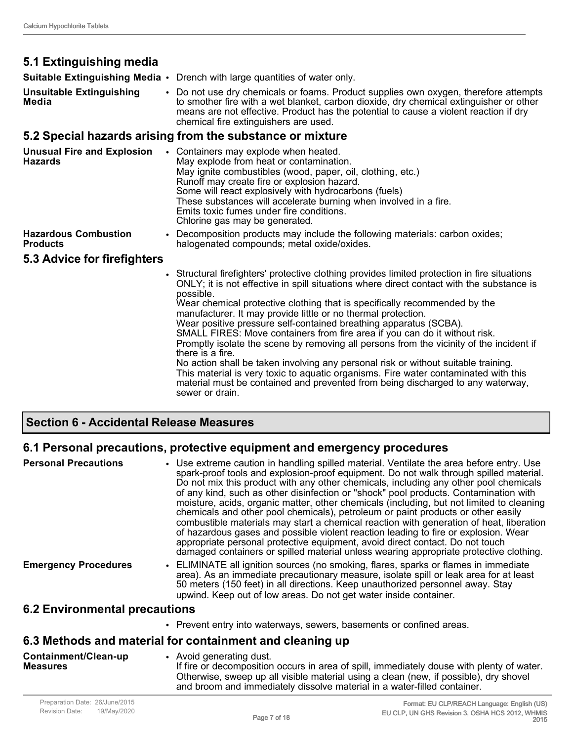### **5.1 Extinguishing media**

**Suitable Extinguishing Media** • Drench with large quantities of water only.

**Unsuitable Extinguishing Media** • Do not use dry chemicals or foams. Product supplies own oxygen, therefore attempts to smother fire with a wet blanket, carbon dioxide, dry chemical extinguisher or other means are not effective. Product has the potential to cause a violent reaction if dry chemical fire extinguishers are used.

#### **5.2 Special hazards arising from the substance or mixture**

| <b>Unusual Fire and Explosion</b><br>Hazards   | Containers may explode when heated.<br>May explode from heat or contamination.<br>May ignite combustibles (wood, paper, oil, clothing, etc.)<br>Runoff may create fire or explosion hazard.<br>Some will react explosively with hydrocarbons (fuels)<br>These substances will accelerate burning when involved in a fire.<br>Emits toxic fumes under fire conditions.<br>Chlorine gas may be generated.                                                                                                                                                                                                                                                                                                                                                                                                                                                                                                   |  |
|------------------------------------------------|-----------------------------------------------------------------------------------------------------------------------------------------------------------------------------------------------------------------------------------------------------------------------------------------------------------------------------------------------------------------------------------------------------------------------------------------------------------------------------------------------------------------------------------------------------------------------------------------------------------------------------------------------------------------------------------------------------------------------------------------------------------------------------------------------------------------------------------------------------------------------------------------------------------|--|
| <b>Hazardous Combustion</b><br><b>Products</b> | • Decomposition products may include the following materials: carbon oxides;<br>halogenated compounds; metal oxide/oxides.                                                                                                                                                                                                                                                                                                                                                                                                                                                                                                                                                                                                                                                                                                                                                                                |  |
| 5.3 Advice for firefighters                    |                                                                                                                                                                                                                                                                                                                                                                                                                                                                                                                                                                                                                                                                                                                                                                                                                                                                                                           |  |
|                                                | • Structural firefighters' protective clothing provides limited protection in fire situations<br>ONLY; it is not effective in spill situations where direct contact with the substance is<br>possible.<br>Wear chemical protective clothing that is specifically recommended by the<br>manufacturer. It may provide little or no thermal protection.<br>Wear positive pressure self-contained breathing apparatus (SCBA).<br>SMALL FIRES: Move containers from fire area if you can do it without risk.<br>Promptly isolate the scene by removing all persons from the vicinity of the incident if<br>there is a fire.<br>No action shall be taken involving any personal risk or without suitable training.<br>This material is very toxic to aquatic organisms. Fire water contaminated with this<br>material must be contained and prevented from being discharged to any waterway,<br>sewer or drain. |  |

#### **Section 6 - Accidental Release Measures**

#### **6.1 Personal precautions, protective equipment and emergency procedures**

| <b>Personal Precautions</b>          | • Use extreme caution in handling spilled material. Ventilate the area before entry. Use<br>spark-proof tools and explosion-proof equipment. Do not walk through spilled material.<br>Do not mix this product with any other chemicals, including any other pool chemicals<br>of any kind, such as other disinfection or "shock" pool products. Contamination with<br>moisture, acids, organic matter, other chemicals (including, but not limited to cleaning<br>chemicals and other pool chemicals), petroleum or paint products or other easily<br>combustible materials may start a chemical reaction with generation of heat, liberation<br>of hazardous gases and possible violent reaction leading to fire or explosion. Wear<br>appropriate personal protective equipment, avoid direct contact. Do not touch<br>damaged containers or spilled material unless wearing appropriate protective clothing. |
|--------------------------------------|-----------------------------------------------------------------------------------------------------------------------------------------------------------------------------------------------------------------------------------------------------------------------------------------------------------------------------------------------------------------------------------------------------------------------------------------------------------------------------------------------------------------------------------------------------------------------------------------------------------------------------------------------------------------------------------------------------------------------------------------------------------------------------------------------------------------------------------------------------------------------------------------------------------------|
| <b>Emergency Procedures</b>          | • ELIMINATE all ignition sources (no smoking, flares, sparks or flames in immediate<br>area). As an immediate precautionary measure, isolate spill or leak area for at least<br>50 meters (150 feet) in all directions. Keep unauthorized personnel away. Stay<br>upwind. Keep out of low areas. Do not get water inside container.                                                                                                                                                                                                                                                                                                                                                                                                                                                                                                                                                                             |
| <b>6.2 Environmental precautions</b> |                                                                                                                                                                                                                                                                                                                                                                                                                                                                                                                                                                                                                                                                                                                                                                                                                                                                                                                 |

#### **6.2 Environmental precautions**

• Prevent entry into waterways, sewers, basements or confined areas.

#### **6.3 Methods and material for containment and cleaning up**

**Containment/Clean-up Measures** • Avoid generating dust. If fire or decomposition occurs in area of spill, immediately douse with plenty of water. Otherwise, sweep up all visible material using a clean (new, if possible), dry shovel and broom and immediately dissolve material in a water-filled container.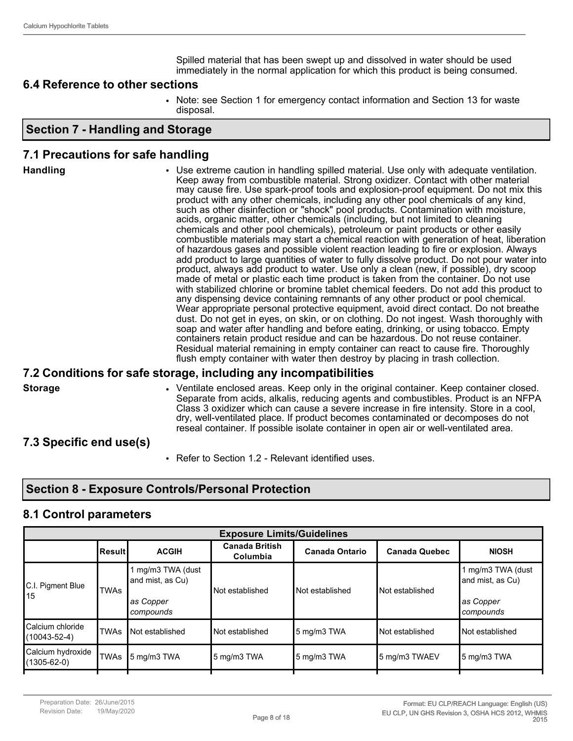Spilled material that has been swept up and dissolved in water should be used immediately in the normal application for which this product is being consumed.

#### **6.4 Reference to other sections**

• Note: see Section 1 for emergency contact information and Section 13 for waste disposal.

#### **Section 7 - Handling and Storage**

#### **7.1 Precautions for safe handling**

| product with any other chemicals, including any other pool chemicals of any kind,<br>such as other disinfection or "shock" pool products. Contamination with moisture,<br>acids, organic matter, other chemicals (including, but not limited to cleaning<br>chemicals and other pool chemicals), petroleum or paint products or other easily<br>combustible materials may start a chemical reaction with generation of heat, liberation<br>of hazardous gases and possible violent reaction leading to fire or explosion. Always<br>add product to large quantities of water to fully dissolve product. Do not pour water into<br>product, always add product to water. Use only a clean (new, if possible), dry scoop<br>made of metal or plastic each time product is taken from the container. Do not use<br>with stabilized chlorine or bromine tablet chemical feeders. Do not add this product to<br>any dispensing device containing remnants of any other product or pool chemical.<br>Wear appropriate personal protective equipment, avoid direct contact. Do not breathe<br>dust. Do not get in eyes, on skin, or on clothing. Do not ingest. Wash thoroughly with<br>soap and water after handling and before eating, drinking, or using tobacco. Empty<br>containers retain product residue and can be hazardous. Do not reuse container.<br>Residual material remaining in empty container can react to cause fire. Thoroughly<br>flush empty container with water then destroy by placing in trash collection. |
|-------------------------------------------------------------------------------------------------------------------------------------------------------------------------------------------------------------------------------------------------------------------------------------------------------------------------------------------------------------------------------------------------------------------------------------------------------------------------------------------------------------------------------------------------------------------------------------------------------------------------------------------------------------------------------------------------------------------------------------------------------------------------------------------------------------------------------------------------------------------------------------------------------------------------------------------------------------------------------------------------------------------------------------------------------------------------------------------------------------------------------------------------------------------------------------------------------------------------------------------------------------------------------------------------------------------------------------------------------------------------------------------------------------------------------------------------------------------------------------------------------------------------------|
|-------------------------------------------------------------------------------------------------------------------------------------------------------------------------------------------------------------------------------------------------------------------------------------------------------------------------------------------------------------------------------------------------------------------------------------------------------------------------------------------------------------------------------------------------------------------------------------------------------------------------------------------------------------------------------------------------------------------------------------------------------------------------------------------------------------------------------------------------------------------------------------------------------------------------------------------------------------------------------------------------------------------------------------------------------------------------------------------------------------------------------------------------------------------------------------------------------------------------------------------------------------------------------------------------------------------------------------------------------------------------------------------------------------------------------------------------------------------------------------------------------------------------------|

#### **7.2 Conditions for safe storage, including any incompatibilities**

**Storage • • • • Ventilate enclosed areas. Keep only in the original container. Keep container closed.** Separate from acids, alkalis, reducing agents and combustibles. Product is an NFPA Class 3 oxidizer which can cause a severe increase in fire intensity. Store in a cool, dry, well-ventilated place. If product becomes contaminated or decomposes do not reseal container. If possible isolate container in open air or well-ventilated area.

#### **7.3 Specific end use(s)**

• Refer to Section 1.2 - Relevant identified uses.

#### **Section 8 - Exposure Controls/Personal Protection**

#### **8.1 Control parameters**

| <b>Exposure Limits/Guidelines</b>      |               |                                                                   |                                   |                       |                      |                                                                 |  |
|----------------------------------------|---------------|-------------------------------------------------------------------|-----------------------------------|-----------------------|----------------------|-----------------------------------------------------------------|--|
|                                        | <b>Result</b> | <b>ACGIH</b>                                                      | <b>Canada British</b><br>Columbia | <b>Canada Ontario</b> | <b>Canada Quebec</b> | <b>NIOSH</b>                                                    |  |
| C.I. Pigment Blue<br>15                | <b>TWAs</b>   | 1 mg/m3 TWA (dust<br>and mist, as Cu)<br> as Copper<br> compounds | Not established                   | Not established       | Not established      | 1 mg/m3 TWA (dust<br>and mist, as Cu)<br>as Copper<br>compounds |  |
| Calcium chloride<br>$(10043 - 52 - 4)$ | <b>TWAs</b>   | Not established                                                   | Not established                   | 5 mg/m3 TWA           | Not established      | Not established                                                 |  |
| Calcium hydroxide<br>(1305-62-0)       | <b>TWAs</b>   | 5 mg/m3 TWA                                                       | 5 mg/m3 TWA                       | 5 mg/m3 TWA           | 5 mg/m3 TWAEV        | 5 mg/m3 TWA                                                     |  |
|                                        |               |                                                                   |                                   |                       |                      |                                                                 |  |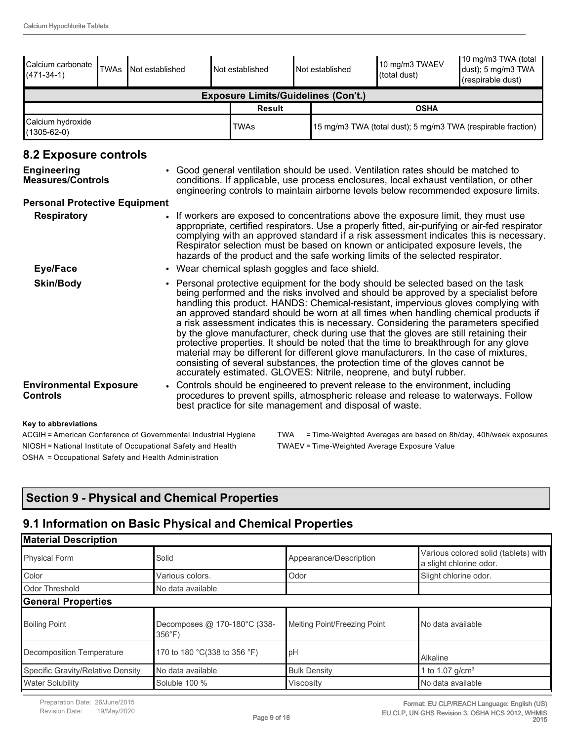| Calcium carbonate<br>$(471-34-1)$                | <b>TWAs</b>                                                                                                                                                                                                                                                                                                                                                                                                                                                                                           | Not established |                                                                                                                                                                                                                                                                                                                                                                                                                                                                                                                                                                                                                                                                                                                                                                                                                                                                                 | Not established |  | Not established | 10 mg/m3 TWAEV<br>(total dust)                                                    | 10 mg/m3 TWA (total<br>dust); 5 mg/m3 TWA<br>(respirable dust)                                                                                                                |
|--------------------------------------------------|-------------------------------------------------------------------------------------------------------------------------------------------------------------------------------------------------------------------------------------------------------------------------------------------------------------------------------------------------------------------------------------------------------------------------------------------------------------------------------------------------------|-----------------|---------------------------------------------------------------------------------------------------------------------------------------------------------------------------------------------------------------------------------------------------------------------------------------------------------------------------------------------------------------------------------------------------------------------------------------------------------------------------------------------------------------------------------------------------------------------------------------------------------------------------------------------------------------------------------------------------------------------------------------------------------------------------------------------------------------------------------------------------------------------------------|-----------------|--|-----------------|-----------------------------------------------------------------------------------|-------------------------------------------------------------------------------------------------------------------------------------------------------------------------------|
|                                                  | <b>Exposure Limits/Guidelines (Con't.)</b>                                                                                                                                                                                                                                                                                                                                                                                                                                                            |                 |                                                                                                                                                                                                                                                                                                                                                                                                                                                                                                                                                                                                                                                                                                                                                                                                                                                                                 |                 |  |                 |                                                                                   |                                                                                                                                                                               |
|                                                  |                                                                                                                                                                                                                                                                                                                                                                                                                                                                                                       |                 |                                                                                                                                                                                                                                                                                                                                                                                                                                                                                                                                                                                                                                                                                                                                                                                                                                                                                 | <b>Result</b>   |  |                 | <b>OSHA</b>                                                                       |                                                                                                                                                                               |
| Calcium hydroxide<br>$(1305 - 62 - 0)$           |                                                                                                                                                                                                                                                                                                                                                                                                                                                                                                       |                 |                                                                                                                                                                                                                                                                                                                                                                                                                                                                                                                                                                                                                                                                                                                                                                                                                                                                                 | <b>TWAs</b>     |  |                 |                                                                                   | 15 mg/m3 TWA (total dust); 5 mg/m3 TWA (respirable fraction)                                                                                                                  |
| 8.2 Exposure controls                            |                                                                                                                                                                                                                                                                                                                                                                                                                                                                                                       |                 |                                                                                                                                                                                                                                                                                                                                                                                                                                                                                                                                                                                                                                                                                                                                                                                                                                                                                 |                 |  |                 |                                                                                   |                                                                                                                                                                               |
| <b>Engineering</b><br>Measures/Controls          |                                                                                                                                                                                                                                                                                                                                                                                                                                                                                                       |                 |                                                                                                                                                                                                                                                                                                                                                                                                                                                                                                                                                                                                                                                                                                                                                                                                                                                                                 |                 |  |                 | • Good general ventilation should be used. Ventilation rates should be matched to | conditions. If applicable, use process enclosures, local exhaust ventilation, or other<br>engineering controls to maintain airborne levels below recommended exposure limits. |
| <b>Personal Protective Equipment</b>             |                                                                                                                                                                                                                                                                                                                                                                                                                                                                                                       |                 |                                                                                                                                                                                                                                                                                                                                                                                                                                                                                                                                                                                                                                                                                                                                                                                                                                                                                 |                 |  |                 |                                                                                   |                                                                                                                                                                               |
| <b>Respiratory</b>                               | • If workers are exposed to concentrations above the exposure limit, they must use<br>appropriate, certified respirators. Use a properly fitted, air-purifying or air-fed respirator<br>complying with an approved standard if a risk assessment indicates this is necessary.<br>Respirator selection must be based on known or anticipated exposure levels, the<br>hazards of the product and the safe working limits of the selected respirator.<br>• Wear chemical splash goggles and face shield. |                 |                                                                                                                                                                                                                                                                                                                                                                                                                                                                                                                                                                                                                                                                                                                                                                                                                                                                                 |                 |  |                 |                                                                                   |                                                                                                                                                                               |
| <b>Eye/Face</b>                                  |                                                                                                                                                                                                                                                                                                                                                                                                                                                                                                       |                 |                                                                                                                                                                                                                                                                                                                                                                                                                                                                                                                                                                                                                                                                                                                                                                                                                                                                                 |                 |  |                 |                                                                                   |                                                                                                                                                                               |
| <b>Skin/Body</b>                                 |                                                                                                                                                                                                                                                                                                                                                                                                                                                                                                       |                 | • Personal protective equipment for the body should be selected based on the task<br>being performed and the risks involved and should be approved by a specialist before<br>handling this product. HANDS: Chemical-resistant, impervious gloves complying with<br>an approved standard should be worn at all times when handling chemical products if<br>a risk assessment indicates this is necessary. Considering the parameters specified<br>by the glove manufacturer, check during use that the gloves are still retaining their<br>protective properties. It should be noted that the time to breakthrough for any glove<br>material may be different for different glove manufacturers. In the case of mixtures,<br>consisting of several substances, the protection time of the gloves cannot be<br>accurately estimated. GLOVES: Nitrile, neoprene, and butyl rubber. |                 |  |                 |                                                                                   |                                                                                                                                                                               |
| <b>Environmental Exposure</b><br><b>Controls</b> |                                                                                                                                                                                                                                                                                                                                                                                                                                                                                                       |                 | • Controls should be engineered to prevent release to the environment, including<br>procedures to prevent spills, atmospheric release and release to waterways. Follow<br>best practice for site management and disposal of waste.                                                                                                                                                                                                                                                                                                                                                                                                                                                                                                                                                                                                                                              |                 |  |                 |                                                                                   |                                                                                                                                                                               |
| Key to abbreviations                             |                                                                                                                                                                                                                                                                                                                                                                                                                                                                                                       |                 |                                                                                                                                                                                                                                                                                                                                                                                                                                                                                                                                                                                                                                                                                                                                                                                                                                                                                 |                 |  |                 |                                                                                   |                                                                                                                                                                               |
|                                                  |                                                                                                                                                                                                                                                                                                                                                                                                                                                                                                       |                 |                                                                                                                                                                                                                                                                                                                                                                                                                                                                                                                                                                                                                                                                                                                                                                                                                                                                                 |                 |  |                 |                                                                                   |                                                                                                                                                                               |

NIOSH = National Institute of Occupational Safety and Health TWAEV = Time-Weighted Average Exposure Value OSHA = Occupational Safety and Health Administration

ACGIH = American Conference of Governmental Industrial Hygiene TWA = Time-Weighted Averages are based on 8h/day, 40h/week exposures

### **Section 9 - Physical and Chemical Properties**

# **9.1 Information on Basic Physical and Chemical Properties**

| <b>Material Description</b>       |                                                  |                              |                                                                 |
|-----------------------------------|--------------------------------------------------|------------------------------|-----------------------------------------------------------------|
| Physical Form                     | Solid                                            | Appearance/Description       | Various colored solid (tablets) with<br>a slight chlorine odor. |
| Color                             | Various colors.                                  | Odor                         | Slight chlorine odor.                                           |
| <b>Odor Threshold</b>             | No data available                                |                              |                                                                 |
| General Properties                |                                                  |                              |                                                                 |
| <b>Boiling Point</b>              | Decomposes @ 170-180°C (338-<br>$356^{\circ}$ F) | Melting Point/Freezing Point | No data available                                               |
| Decomposition Temperature         | 170 to 180 °C(338 to 356 °F)                     | pH                           | Alkaline                                                        |
| Specific Gravity/Relative Density | No data available                                | <b>Bulk Density</b>          | 1 to 1.07 $q/cm3$                                               |
| <b>Water Solubility</b>           | Soluble 100 %                                    | Viscosity                    | No data available                                               |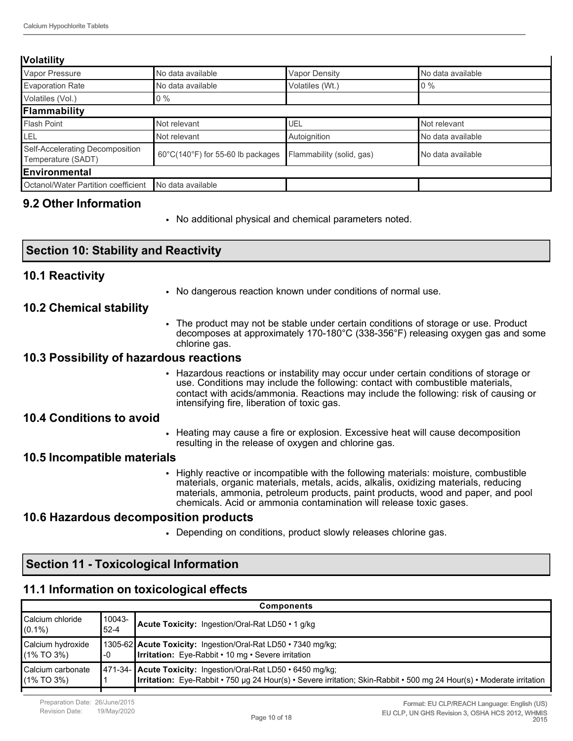#### **Volatility**

| . <i>.</i>                                            |                                                        |                           |                   |
|-------------------------------------------------------|--------------------------------------------------------|---------------------------|-------------------|
| Vapor Pressure                                        | No data available                                      | Vapor Density             | No data available |
| <b>Evaporation Rate</b>                               | No data available                                      | Volatiles (Wt.)           | $10\%$            |
| Volatiles (Vol.)                                      | $0\%$                                                  |                           |                   |
| Flammability                                          |                                                        |                           |                   |
| <b>Flash Point</b>                                    | Not relevant                                           | UEL                       | Not relevant      |
| LEL                                                   | Not relevant                                           | Autoignition              | No data available |
| Self-Accelerating Decomposition<br>Temperature (SADT) | $60^{\circ}$ C(140 $^{\circ}$ F) for 55-60 lb packages | Flammability (solid, gas) | No data available |
| Environmental                                         |                                                        |                           |                   |
| Octanol/Water Partition coefficient                   | No data available                                      |                           |                   |
|                                                       |                                                        |                           |                   |

#### **9.2 Other Information**

**10.2 Chemical stability**

**10.4 Conditions to avoid**

**10.5 Incompatible materials**

**10.1 Reactivity**

**Section 10: Stability and Reactivity**

**10.3 Possibility of hazardous reactions**

**10.6 Hazardous decomposition products**

**Section 11 - Toxicological Information**

chlorine gas.

intensifying fire, liberation of toxic gas.

resulting in the release of oxygen and chlorine gas.

• No additional physical and chemical parameters noted.

• No dangerous reaction known under conditions of normal use.

• The product may not be stable under certain conditions of storage or use. Product decomposes at approximately 170-180°C (338-356°F) releasing oxygen gas and some

• Hazardous reactions or instability may occur under certain conditions of storage or use. Conditions may include the following: contact with combustible materials, contact with acids/ammonia. Reactions may include the following: risk of causing or

• Heating may cause a fire or explosion. Excessive heat will cause decomposition

• Highly reactive or incompatible with the following materials: moisture, combustible materials, organic materials, metals, acids, alkalis, oxidizing materials, reducing materials, ammonia, petroleum products, paint products, wood and paper, and pool

chemicals. Acid or ammonia contamination will release toxic gases.

• Depending on conditions, product slowly releases chlorine gas.

|                                      | Section 11 - TOXICOlogical Information    |                    |                                                                                                                                                                                        |  |  |
|--------------------------------------|-------------------------------------------|--------------------|----------------------------------------------------------------------------------------------------------------------------------------------------------------------------------------|--|--|
|                                      | 11.1 Information on toxicological effects |                    |                                                                                                                                                                                        |  |  |
|                                      |                                           |                    | <b>Components</b>                                                                                                                                                                      |  |  |
| <b>Calcium</b> chloride<br>$(0.1\%)$ |                                           | 10043-<br>$52 - 4$ | Acute Toxicity: Ingestion/Oral-Rat LD50 . 1 g/kg                                                                                                                                       |  |  |
| Calcium hydroxide<br>$(1\%$ TO 3%)   |                                           | -0                 | 1305-62 Acute Toxicity: Ingestion/Oral-Rat LD50 • 7340 mg/kg;<br><b>Irritation:</b> Eye-Rabbit • 10 mg • Severe irritation                                                             |  |  |
| Calcium carbonate<br>$(1\%$ TO 3%)   |                                           |                    | 471-34- Acute Toxicity: Ingestion/Oral-Rat LD50 · 6450 mg/kg;<br>Irritation: Eye-Rabbit • 750 µg 24 Hour(s) • Severe irritation; Skin-Rabbit • 500 mg 24 Hour(s) • Moderate irritation |  |  |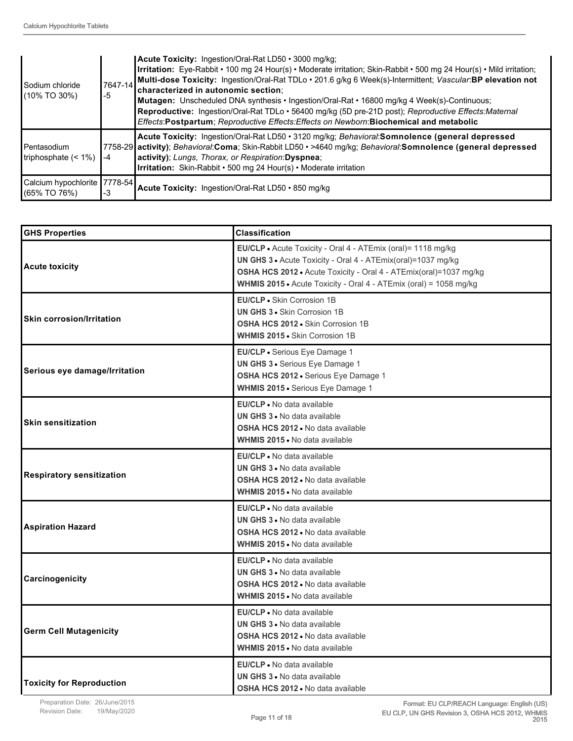| l Sodium chloride<br>1/10% TO 30%)                | 7647-14<br>$-5$ | Acute Toxicity: Ingestion/Oral-Rat LD50 • 3000 mg/kg;<br>Irritation: Eye-Rabbit • 100 mg 24 Hour(s) • Moderate irritation; Skin-Rabbit • 500 mg 24 Hour(s) • Mild irritation;<br>Multi-dose Toxicity: Ingestion/Oral-Rat TDLo · 201.6 g/kg 6 Week(s)-Intermittent; Vascular:BP elevation not<br>characterized in autonomic section:<br>Mutagen: Unscheduled DNA synthesis • Ingestion/Oral-Rat • 16800 mg/kg 4 Week(s)-Continuous;<br>Reproductive: Ingestion/Oral-Rat TDLo · 56400 mg/kg (5D pre-21D post); Reproductive Effects: Maternal<br>Effects: Postpartum; Reproductive Effects: Effects on Newborn: Biochemical and metabolic |
|---------------------------------------------------|-----------------|-----------------------------------------------------------------------------------------------------------------------------------------------------------------------------------------------------------------------------------------------------------------------------------------------------------------------------------------------------------------------------------------------------------------------------------------------------------------------------------------------------------------------------------------------------------------------------------------------------------------------------------------|
| l Pentasodium<br>Itriphosphate $($ < 1% $)$       | $-4$            | Acute Toxicity: Ingestion/Oral-Rat LD50 • 3120 mg/kg; Behavioral:Somnolence (general depressed<br>7758-29 activity); Behavioral:Coma; Skin-Rabbit LD50 • >4640 mg/kg; Behavioral:Somnolence (general depressed<br>activity); Lungs, Thorax, or Respiration: Dyspnea;<br><b>Irritation:</b> Skin-Rabbit • 500 mg 24 Hour(s) • Moderate irritation                                                                                                                                                                                                                                                                                        |
| Calcium hypochlorite   7778-54  <br>I(65% TO 76%) | -3              | Acute Toxicity: Ingestion/Oral-Rat LD50 · 850 mg/kg                                                                                                                                                                                                                                                                                                                                                                                                                                                                                                                                                                                     |

| <b>GHS Properties</b>            | <b>Classification</b>                                                                                                                                                                                                                                                  |
|----------------------------------|------------------------------------------------------------------------------------------------------------------------------------------------------------------------------------------------------------------------------------------------------------------------|
| <b>Acute toxicity</b>            | EU/CLP . Acute Toxicity - Oral 4 - ATEmix (oral)= 1118 mg/kg<br>UN GHS 3 . Acute Toxicity - Oral 4 - ATEmix(oral)=1037 mg/kg<br>OSHA HCS 2012 · Acute Toxicity - Oral 4 - ATEmix(oral)=1037 mg/kg<br>WHMIS 2015 • Acute Toxicity - Oral 4 - ATEmix (oral) = 1058 mg/kg |
| <b>Skin corrosion/Irritation</b> | EU/CLP • Skin Corrosion 1B<br><b>UN GHS 3 · Skin Corrosion 1B</b><br><b>OSHA HCS 2012 - Skin Corrosion 1B</b><br><b>WHMIS 2015 .</b> Skin Corrosion 1B                                                                                                                 |
| Serious eye damage/Irritation    | EU/CLP · Serious Eye Damage 1<br>UN GHS 3 · Serious Eye Damage 1<br>OSHA HCS 2012 · Serious Eye Damage 1<br>WHMIS 2015 · Serious Eye Damage 1                                                                                                                          |
| <b>Skin sensitization</b>        | EU/CLP . No data available<br><b>UN GHS 3 .</b> No data available<br>OSHA HCS 2012 . No data available<br><b>WHMIS 2015 • No data available</b>                                                                                                                        |
| <b>Respiratory sensitization</b> | EU/CLP • No data available<br><b>UN GHS 3 • No data available</b><br><b>OSHA HCS 2012 • No data available</b><br><b>WHMIS 2015</b> . No data available                                                                                                                 |
| <b>Aspiration Hazard</b>         | <b>EU/CLP</b> • No data available<br><b>UN GHS 3 • No data available</b><br><b>OSHA HCS 2012 • No data available</b><br><b>WHMIS 2015 • No data available</b>                                                                                                          |
| Carcinogenicity                  | EU/CLP • No data available<br><b>UN GHS 3 .</b> No data available<br>OSHA HCS 2012 . No data available<br><b>WHMIS 2015 • No data available</b>                                                                                                                        |
| <b>Germ Cell Mutagenicity</b>    | EU/CLP • No data available<br><b>UN GHS 3 • No data available</b><br><b>OSHA HCS 2012 • No data available</b><br><b>WHMIS 2015 • No data available</b>                                                                                                                 |
| <b>Toxicity for Reproduction</b> | <b>EU/CLP</b> • No data available<br><b>UN GHS 3 • No data available</b><br>OSHA HCS 2012 . No data available                                                                                                                                                          |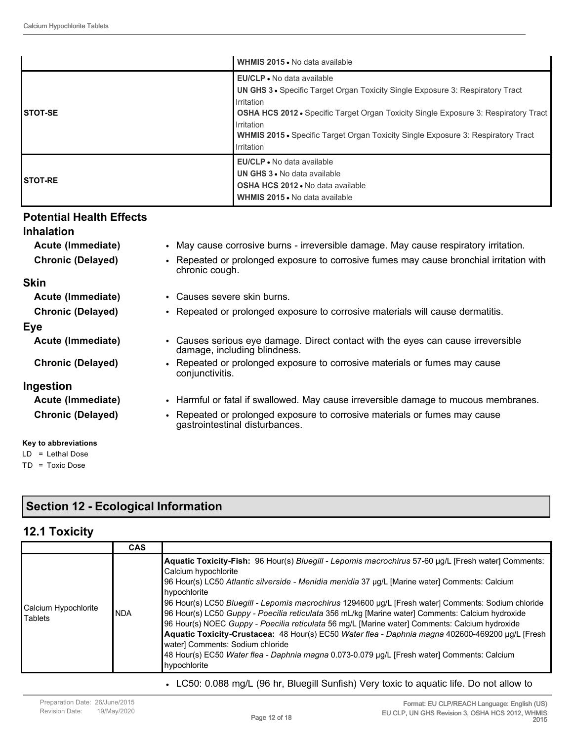|                 | WHMIS 2015 . No data available                                                                                                                                                                                                                                                                                                                                        |
|-----------------|-----------------------------------------------------------------------------------------------------------------------------------------------------------------------------------------------------------------------------------------------------------------------------------------------------------------------------------------------------------------------|
| <b>ISTOT-SE</b> | <b>EU/CLP</b> • No data available<br><b>UN GHS 3 •</b> Specific Target Organ Toxicity Single Exposure 3: Respiratory Tract<br><b>I</b> rritation<br><b>OSHA HCS 2012 •</b> Specific Target Organ Toxicity Single Exposure 3: Respiratory Tract<br>Irritation<br><b>WHMIS 2015 •</b> Specific Target Organ Toxicity Single Exposure 3: Respiratory Tract<br>Irritation |
| <b>ISTOT-RE</b> | EU/CLP . No data available<br>UN GHS 3 . No data available<br><b>OSHA HCS 2012 .</b> No data available<br>WHMIS 2015 • No data available                                                                                                                                                                                                                              |

#### **Potential Health Effects**

#### **Inhalation**

**Skin**

**Eye**

- **Acute (Immediate)** May cause corrosive burns irreversible damage. May cause respiratory irritation. **Chronic (Delayed)** • Repeated or prolonged exposure to corrosive fumes may cause bronchial irritation with chronic cough. **Acute (Immediate)** • Causes severe skin burns. **Chronic (Delayed)** • Repeated or prolonged exposure to corrosive materials will cause dermatitis.
- **Acute (Immediate)** Causes serious eye damage. Direct contact with the eyes can cause irreversible damage, including blindness.
- **Chronic (Delayed)** Repeated or prolonged exposure to corrosive materials or fumes may cause conjunctivitis.

#### **Ingestion**

- **Acute (Immediate)** Harmful or fatal if swallowed. May cause irreversible damage to mucous membranes.
- **Chronic (Delayed)** Repeated or prolonged exposure to corrosive materials or fumes may cause gastrointestinal disturbances.

### **Key to abbreviations**

LD = Lethal Dose TD = Toxic Dose

### **Section 12 - Ecological Information**

#### **12.1 Toxicity**

|                                        | <b>CAS</b> |                                                                                                                                                                                                                                                                                                                                                                                                                                                                                                                                                                                                                                                                                                                                                                                                                   |
|----------------------------------------|------------|-------------------------------------------------------------------------------------------------------------------------------------------------------------------------------------------------------------------------------------------------------------------------------------------------------------------------------------------------------------------------------------------------------------------------------------------------------------------------------------------------------------------------------------------------------------------------------------------------------------------------------------------------------------------------------------------------------------------------------------------------------------------------------------------------------------------|
| Calcium Hypochlorite<br><b>Tablets</b> | INDA       | Aquatic Toxicity-Fish: 96 Hour(s) Bluegill - Lepomis macrochirus 57-60 µg/L [Fresh water] Comments:<br>Calcium hypochlorite<br>96 Hour(s) LC50 Atlantic silverside - Menidia menidia 37 µg/L [Marine water] Comments: Calcium<br>hypochlorite<br>96 Hour(s) LC50 Bluegill - Lepomis macrochirus 1294600 µg/L [Fresh water] Comments: Sodium chloride<br>96 Hour(s) LC50 Guppy - Poecilia reticulata 356 mL/kg [Marine water] Comments: Calcium hydroxide<br>96 Hour(s) NOEC Guppy - Poecilia reticulata 56 mg/L [Marine water] Comments: Calcium hydroxide<br>Aquatic Toxicity-Crustacea: 48 Hour(s) EC50 Water flea - Daphnia magna 402600-469200 µg/L [Fresh<br>water] Comments: Sodium chloride<br>48 Hour(s) EC50 Water flea - Daphnia magna 0.073-0.079 µg/L [Fresh water] Comments: Calcium<br>hypochlorite |

• LC50: 0.088 mg/L (96 hr, Bluegill Sunfish) Very toxic to aquatic life. Do not allow to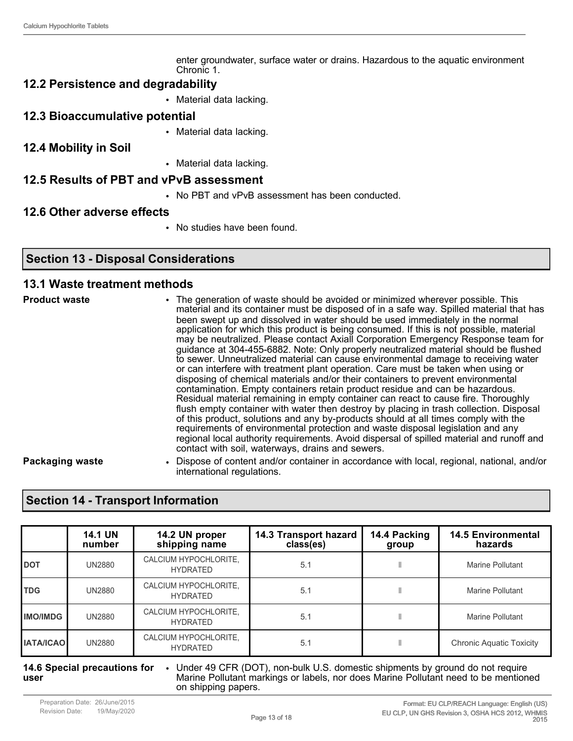enter groundwater, surface water or drains. Hazardous to the aquatic environment Chronic 1.

#### **12.2 Persistence and degradability**

- Material data lacking.
- **12.3 Bioaccumulative potential**
	- Material data lacking.
- **12.4 Mobility in Soil**
- Material data lacking.

#### **12.5 Results of PBT and vPvB assessment**

• No PBT and vPvB assessment has been conducted.

#### **12.6 Other adverse effects**

• No studies have been found.

#### **Section 13 - Disposal Considerations**

#### **13.1 Waste treatment methods**

**Product waste** • The generation of waste should be avoided or minimized wherever possible. This material and its container must be disposed of in a safe way. Spilled material that has been swept up and dissolved in water should be used immediately in the normal application for which this product is being consumed. If this is not possible, material may be neutralized. Please contact Axiall Corporation Emergency Response team for guidance at 304-455-6882. Note: Only properly neutralized material should be flushed to sewer. Unneutralized material can cause environmental damage to receiving water or can interfere with treatment plant operation. Care must be taken when using or disposing of chemical materials and/or their containers to prevent environmental contamination. Empty containers retain product residue and can be hazardous. Residual material remaining in empty container can react to cause fire. Thoroughly flush empty container with water then destroy by placing in trash collection. Disposal of this product, solutions and any by-products should at all times comply with the requirements of environmental protection and waste disposal legislation and any regional local authority requirements. Avoid dispersal of spilled material and runoff and contact with soil, waterways, drains and sewers.

**Packaging waste** • Dispose of content and/or container in accordance with local, regional, national, and/or international regulations.

### **Section 14 - Transport Information**

|                  | <b>14.1 UN</b><br>number | 14.2 UN proper<br>shipping name          | 14.3 Transport hazard<br>class(es) | 14.4 Packing<br>group | <b>14.5 Environmental</b><br>hazards |
|------------------|--------------------------|------------------------------------------|------------------------------------|-----------------------|--------------------------------------|
| <b>I</b> DOT     | <b>UN2880</b>            | CALCIUM HYPOCHLORITE,<br><b>HYDRATED</b> | 5.1                                |                       | Marine Pollutant                     |
| <b>TDG</b>       | <b>UN2880</b>            | CALCIUM HYPOCHLORITE,<br><b>HYDRATED</b> | 5.1                                |                       | Marine Pollutant                     |
| <b>IMO/IMDG</b>  | <b>UN2880</b>            | CALCIUM HYPOCHLORITE,<br><b>HYDRATED</b> | 5.1                                |                       | Marine Pollutant                     |
| <b>IATA/ICAO</b> | <b>UN2880</b>            | CALCIUM HYPOCHLORITE,<br><b>HYDRATED</b> | 5.1                                |                       | <b>Chronic Aquatic Toxicity</b>      |

#### **14.6 Special precautions for user** • Under 49 CFR (DOT), non-bulk U.S. domestic shipments by ground do not require Marine Pollutant markings or labels, nor does Marine Pollutant need to be mentioned on shipping papers.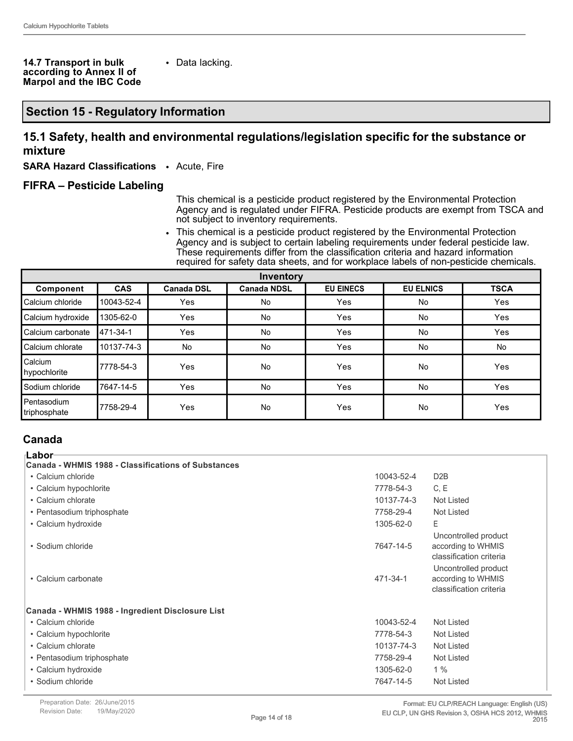#### **14.7 Transport in bulk according to Annex II of Marpol and the IBC Code**

• Data lacking.

#### **Section 15 - Regulatory Information**

#### **15.1 Safety, health and environmental regulations/legislation specific for the substance or mixture**

**SARA Hazard Classifications** • Acute, Fire

#### **FIFRA – Pesticide Labeling**

This chemical is a pesticide product registered by the Environmental Protection Agency and is regulated under FIFRA. Pesticide products are exempt from TSCA and not subject to inventory requirements.

• This chemical is a pesticide product registered by the Environmental Protection Agency and is subject to certain labeling requirements under federal pesticide law. These requirements differ from the classification criteria and hazard information required for safety data sheets, and for workplace labels of non-pesticide chemicals.

| Inventory                     |            |                   |                    |                  |                  |             |
|-------------------------------|------------|-------------------|--------------------|------------------|------------------|-------------|
| Component                     | <b>CAS</b> | <b>Canada DSL</b> | <b>Canada NDSL</b> | <b>EU EINECS</b> | <b>EU ELNICS</b> | <b>TSCA</b> |
| Calcium chloride              | 10043-52-4 | Yes               | No                 | Yes              | No               | Yes         |
| Calcium hydroxide             | 1305-62-0  | Yes               | No                 | Yes              | <b>No</b>        | Yes         |
| Calcium carbonate             | 471-34-1   | Yes               | <b>No</b>          | Yes              | <b>No</b>        | Yes         |
| Calcium chlorate              | 10137-74-3 | No                | No                 | Yes              | No               | No          |
| Calcium<br>hypochlorite       | 17778-54-3 | Yes               | No                 | Yes              | No               | Yes         |
| l Sodium chloride             | 17647-14-5 | <b>Yes</b>        | No                 | Yes              | No               | Yes         |
| l Pentasodium<br>triphosphate | 7758-29-4  | Yes               | No                 | Yes              | No               | Yes         |

#### **Canada**

| ⊺Labor <sup>.</sup>                                 |            |                                                                       |
|-----------------------------------------------------|------------|-----------------------------------------------------------------------|
| Canada - WHMIS 1988 - Classifications of Substances |            |                                                                       |
| • Calcium chloride                                  | 10043-52-4 | D <sub>2</sub> B                                                      |
| • Calcium hypochlorite                              | 7778-54-3  | C, E                                                                  |
| • Calcium chlorate                                  | 10137-74-3 | Not Listed                                                            |
| • Pentasodium triphosphate                          | 7758-29-4  | Not Listed                                                            |
| • Calcium hydroxide                                 | 1305-62-0  | E                                                                     |
| • Sodium chloride                                   | 7647-14-5  | Uncontrolled product<br>according to WHMIS<br>classification criteria |
| • Calcium carbonate                                 | 471-34-1   | Uncontrolled product<br>according to WHMIS<br>classification criteria |
| Canada - WHMIS 1988 - Ingredient Disclosure List    |            |                                                                       |
| • Calcium chloride                                  | 10043-52-4 | Not Listed                                                            |
| • Calcium hypochlorite                              | 7778-54-3  | Not Listed                                                            |
| • Calcium chlorate                                  | 10137-74-3 | Not Listed                                                            |
| • Pentasodium triphosphate                          | 7758-29-4  | Not Listed                                                            |
| • Calcium hydroxide                                 | 1305-62-0  | 1%                                                                    |
| • Sodium chloride                                   | 7647-14-5  | Not Listed                                                            |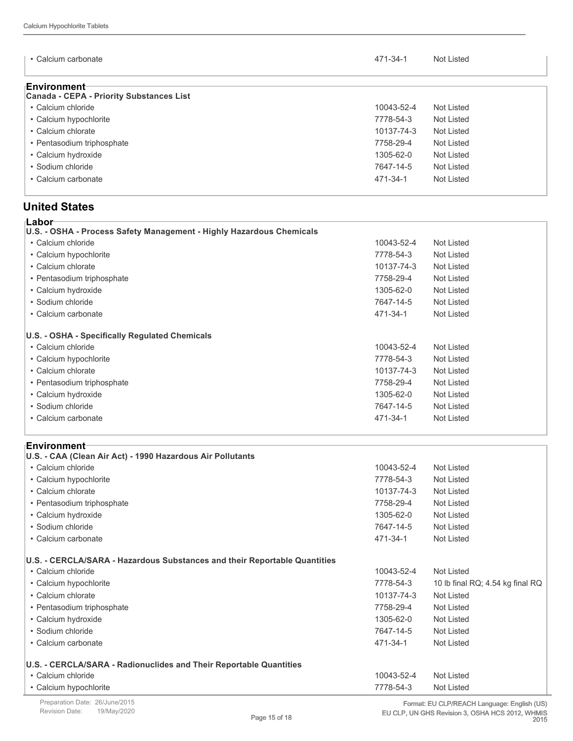| • Calcium carbonate                                             | 471-34-1   | Not Listed |
|-----------------------------------------------------------------|------------|------------|
| ⊧Environment<br><b>Canada - CEPA - Priority Substances List</b> |            |            |
| • Calcium chloride                                              | 10043-52-4 | Not Listed |
| • Calcium hypochlorite                                          | 7778-54-3  | Not Listed |
| • Calcium chlorate                                              | 10137-74-3 | Not Listed |
| • Pentasodium triphosphate                                      | 7758-29-4  | Not Listed |
| • Calcium hydroxide                                             | 1305-62-0  | Not Listed |
| • Sodium chloride                                               | 7647-14-5  | Not Listed |
| • Calcium carbonate                                             | 471-34-1   | Not Listed |

#### **United States**

| ⊧Labor                                                               |            |            |
|----------------------------------------------------------------------|------------|------------|
| U.S. - OSHA - Process Safety Management - Highly Hazardous Chemicals |            |            |
| • Calcium chloride                                                   | 10043-52-4 | Not Listed |
| • Calcium hypochlorite                                               | 7778-54-3  | Not Listed |
| • Calcium chlorate                                                   | 10137-74-3 | Not Listed |
| • Pentasodium triphosphate                                           | 7758-29-4  | Not Listed |
| • Calcium hydroxide                                                  | 1305-62-0  | Not Listed |
| • Sodium chloride                                                    | 7647-14-5  | Not Listed |
| • Calcium carbonate                                                  | 471-34-1   | Not Listed |
| U.S. - OSHA - Specifically Regulated Chemicals                       |            |            |
| • Calcium chloride                                                   | 10043-52-4 | Not Listed |
| • Calcium hypochlorite                                               | 7778-54-3  | Not Listed |
| • Calcium chlorate                                                   | 10137-74-3 | Not Listed |
| • Pentasodium triphosphate                                           | 7758-29-4  | Not Listed |
| • Calcium hydroxide                                                  | 1305-62-0  | Not Listed |
| • Sodium chloride                                                    | 7647-14-5  | Not Listed |
| • Calcium carbonate                                                  | 471-34-1   | Not Listed |
|                                                                      |            |            |

| • Calcium chloride         | 10043-52-4                                                                                                                                                                                                                    | <b>Not Listed</b>                |
|----------------------------|-------------------------------------------------------------------------------------------------------------------------------------------------------------------------------------------------------------------------------|----------------------------------|
| • Calcium hypochlorite     | 7778-54-3                                                                                                                                                                                                                     | <b>Not Listed</b>                |
| • Calcium chlorate         | 10137-74-3                                                                                                                                                                                                                    | Not Listed                       |
| • Pentasodium triphosphate | 7758-29-4                                                                                                                                                                                                                     | <b>Not Listed</b>                |
| • Calcium hydroxide        | 1305-62-0                                                                                                                                                                                                                     | <b>Not Listed</b>                |
| • Sodium chloride          | 7647-14-5                                                                                                                                                                                                                     | Not Listed                       |
| • Calcium carbonate        | 471-34-1                                                                                                                                                                                                                      | <b>Not Listed</b>                |
|                            |                                                                                                                                                                                                                               |                                  |
| • Calcium chloride         | 10043-52-4                                                                                                                                                                                                                    | <b>Not Listed</b>                |
| • Calcium hypochlorite     | 7778-54-3                                                                                                                                                                                                                     | 10 lb final RQ; 4.54 kg final RQ |
| • Calcium chlorate         | 10137-74-3                                                                                                                                                                                                                    | <b>Not Listed</b>                |
| • Pentasodium triphosphate | 7758-29-4                                                                                                                                                                                                                     | <b>Not Listed</b>                |
| • Calcium hydroxide        | 1305-62-0                                                                                                                                                                                                                     | <b>Not Listed</b>                |
| • Sodium chloride          | 7647-14-5                                                                                                                                                                                                                     | <b>Not Listed</b>                |
| • Calcium carbonate        | 471-34-1                                                                                                                                                                                                                      | <b>Not Listed</b>                |
|                            |                                                                                                                                                                                                                               |                                  |
| • Calcium chloride         | 10043-52-4                                                                                                                                                                                                                    | <b>Not Listed</b>                |
| • Calcium hypochlorite     | 7778-54-3                                                                                                                                                                                                                     | <b>Not Listed</b>                |
|                            | ⊦Environment<br>U.S. - CAA (Clean Air Act) - 1990 Hazardous Air Pollutants<br>U.S. - CERCLA/SARA - Hazardous Substances and their Reportable Quantities<br>U.S. - CERCLA/SARA - Radionuclides and Their Reportable Quantities |                                  |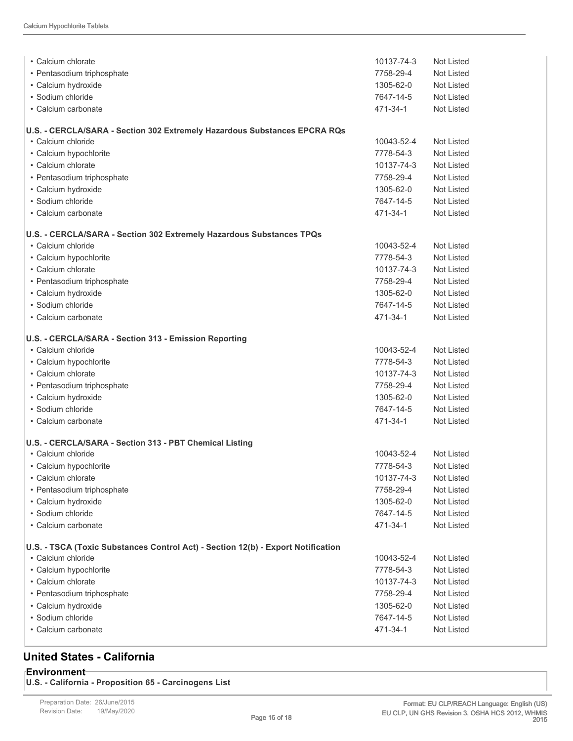| • Calcium chlorate                                                               | 10137-74-3 | Not Listed        |
|----------------------------------------------------------------------------------|------------|-------------------|
| • Pentasodium triphosphate                                                       | 7758-29-4  | Not Listed        |
| • Calcium hydroxide                                                              | 1305-62-0  | <b>Not Listed</b> |
| • Sodium chloride                                                                | 7647-14-5  | <b>Not Listed</b> |
| • Calcium carbonate                                                              | 471-34-1   | <b>Not Listed</b> |
|                                                                                  |            |                   |
| U.S. - CERCLA/SARA - Section 302 Extremely Hazardous Substances EPCRA RQs        |            |                   |
| • Calcium chloride                                                               | 10043-52-4 | <b>Not Listed</b> |
| • Calcium hypochlorite                                                           | 7778-54-3  | <b>Not Listed</b> |
| • Calcium chlorate                                                               | 10137-74-3 | <b>Not Listed</b> |
| • Pentasodium triphosphate                                                       | 7758-29-4  | Not Listed        |
| • Calcium hydroxide                                                              | 1305-62-0  | Not Listed        |
| • Sodium chloride                                                                | 7647-14-5  | Not Listed        |
| • Calcium carbonate                                                              | 471-34-1   | Not Listed        |
| U.S. - CERCLA/SARA - Section 302 Extremely Hazardous Substances TPQs             |            |                   |
| • Calcium chloride                                                               | 10043-52-4 | <b>Not Listed</b> |
| • Calcium hypochlorite                                                           | 7778-54-3  | Not Listed        |
| • Calcium chlorate                                                               | 10137-74-3 | Not Listed        |
| • Pentasodium triphosphate                                                       | 7758-29-4  | Not Listed        |
| • Calcium hydroxide                                                              | 1305-62-0  | Not Listed        |
| • Sodium chloride                                                                | 7647-14-5  | Not Listed        |
| • Calcium carbonate                                                              | 471-34-1   | <b>Not Listed</b> |
| U.S. - CERCLA/SARA - Section 313 - Emission Reporting                            |            |                   |
| • Calcium chloride                                                               | 10043-52-4 | Not Listed        |
| • Calcium hypochlorite                                                           | 7778-54-3  | <b>Not Listed</b> |
| • Calcium chlorate                                                               | 10137-74-3 | Not Listed        |
| • Pentasodium triphosphate                                                       | 7758-29-4  | Not Listed        |
| • Calcium hydroxide                                                              | 1305-62-0  | Not Listed        |
| • Sodium chloride                                                                | 7647-14-5  | <b>Not Listed</b> |
| • Calcium carbonate                                                              | 471-34-1   | Not Listed        |
| U.S. - CERCLA/SARA - Section 313 - PBT Chemical Listing                          |            |                   |
| • Calcium chloride                                                               | 10043-52-4 | Not Listed        |
| • Calcium hypochlorite                                                           | 7778-54-3  | Not Listed        |
| • Calcium chlorate                                                               | 10137-74-3 | <b>Not Listed</b> |
| · Pentasodium triphosphate                                                       | 7758-29-4  | <b>Not Listed</b> |
| • Calcium hydroxide                                                              | 1305-62-0  | Not Listed        |
| · Sodium chloride                                                                | 7647-14-5  | <b>Not Listed</b> |
| • Calcium carbonate                                                              | 471-34-1   | Not Listed        |
|                                                                                  |            |                   |
| U.S. - TSCA (Toxic Substances Control Act) - Section 12(b) - Export Notification |            |                   |
| • Calcium chloride                                                               | 10043-52-4 | Not Listed        |
| • Calcium hypochlorite                                                           | 7778-54-3  | Not Listed        |
| • Calcium chlorate                                                               | 10137-74-3 | Not Listed        |
| • Pentasodium triphosphate                                                       | 7758-29-4  | Not Listed        |
| • Calcium hydroxide                                                              | 1305-62-0  | Not Listed        |
| · Sodium chloride                                                                | 7647-14-5  | Not Listed        |
| • Calcium carbonate                                                              | 471-34-1   | Not Listed        |
|                                                                                  |            |                   |

### **United States - California**

**Environment U.S. - California - Proposition 65 - Carcinogens List**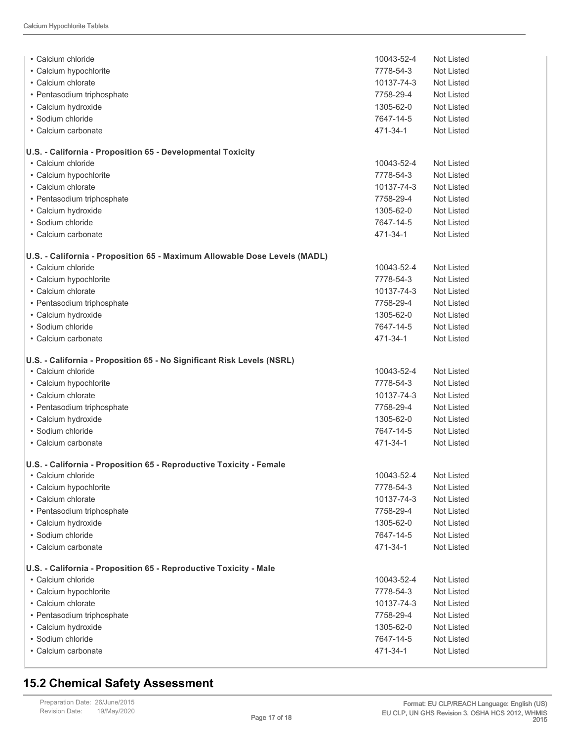| • Calcium chloride                                                        | 10043-52-4 | Not Listed        |
|---------------------------------------------------------------------------|------------|-------------------|
| • Calcium hypochlorite                                                    | 7778-54-3  | Not Listed        |
| • Calcium chlorate                                                        | 10137-74-3 | <b>Not Listed</b> |
| • Pentasodium triphosphate                                                | 7758-29-4  | Not Listed        |
| • Calcium hydroxide                                                       | 1305-62-0  | Not Listed        |
| • Sodium chloride                                                         | 7647-14-5  | Not Listed        |
| • Calcium carbonate                                                       | 471-34-1   | Not Listed        |
| U.S. - California - Proposition 65 - Developmental Toxicity               |            |                   |
| • Calcium chloride                                                        | 10043-52-4 | Not Listed        |
| • Calcium hypochlorite                                                    | 7778-54-3  | Not Listed        |
| • Calcium chlorate                                                        | 10137-74-3 | Not Listed        |
| • Pentasodium triphosphate                                                | 7758-29-4  | Not Listed        |
| • Calcium hydroxide                                                       | 1305-62-0  | <b>Not Listed</b> |
| • Sodium chloride                                                         | 7647-14-5  | Not Listed        |
| • Calcium carbonate                                                       | 471-34-1   | Not Listed        |
| U.S. - California - Proposition 65 - Maximum Allowable Dose Levels (MADL) |            |                   |
| • Calcium chloride                                                        | 10043-52-4 | Not Listed        |
| • Calcium hypochlorite                                                    | 7778-54-3  | <b>Not Listed</b> |
| • Calcium chlorate                                                        | 10137-74-3 | Not Listed        |
| • Pentasodium triphosphate                                                | 7758-29-4  | Not Listed        |
| • Calcium hydroxide                                                       | 1305-62-0  | Not Listed        |
| • Sodium chloride                                                         | 7647-14-5  | Not Listed        |
| • Calcium carbonate                                                       | 471-34-1   | Not Listed        |
| U.S. - California - Proposition 65 - No Significant Risk Levels (NSRL)    |            |                   |
| • Calcium chloride                                                        | 10043-52-4 | Not Listed        |
| • Calcium hypochlorite                                                    | 7778-54-3  | Not Listed        |
| • Calcium chlorate                                                        | 10137-74-3 | Not Listed        |
| • Pentasodium triphosphate                                                | 7758-29-4  | Not Listed        |
| • Calcium hydroxide                                                       | 1305-62-0  | Not Listed        |
| · Sodium chloride                                                         | 7647-14-5  | Not Listed        |
| • Calcium carbonate                                                       | 471-34-1   | Not Listed        |
| U.S. - California - Proposition 65 - Reproductive Toxicity - Female       |            |                   |
| • Calcium chloride                                                        | 10043-52-4 | Not Listed        |
| • Calcium hypochlorite                                                    | 7778-54-3  | Not Listed        |
| • Calcium chlorate                                                        | 10137-74-3 | Not Listed        |
| • Pentasodium triphosphate                                                | 7758-29-4  | Not Listed        |
| · Calcium hydroxide                                                       | 1305-62-0  | <b>Not Listed</b> |
| · Sodium chloride                                                         | 7647-14-5  | Not Listed        |
| • Calcium carbonate                                                       | 471-34-1   | <b>Not Listed</b> |
| U.S. - California - Proposition 65 - Reproductive Toxicity - Male         |            |                   |
| • Calcium chloride                                                        | 10043-52-4 | Not Listed        |
| • Calcium hypochlorite                                                    | 7778-54-3  | Not Listed        |
| • Calcium chlorate                                                        | 10137-74-3 | Not Listed        |
| · Pentasodium triphosphate                                                | 7758-29-4  | Not Listed        |
| · Calcium hydroxide                                                       | 1305-62-0  | Not Listed        |
| · Sodium chloride                                                         | 7647-14-5  | Not Listed        |
| • Calcium carbonate                                                       | 471-34-1   | Not Listed        |

### **15.2 Chemical Safety Assessment**